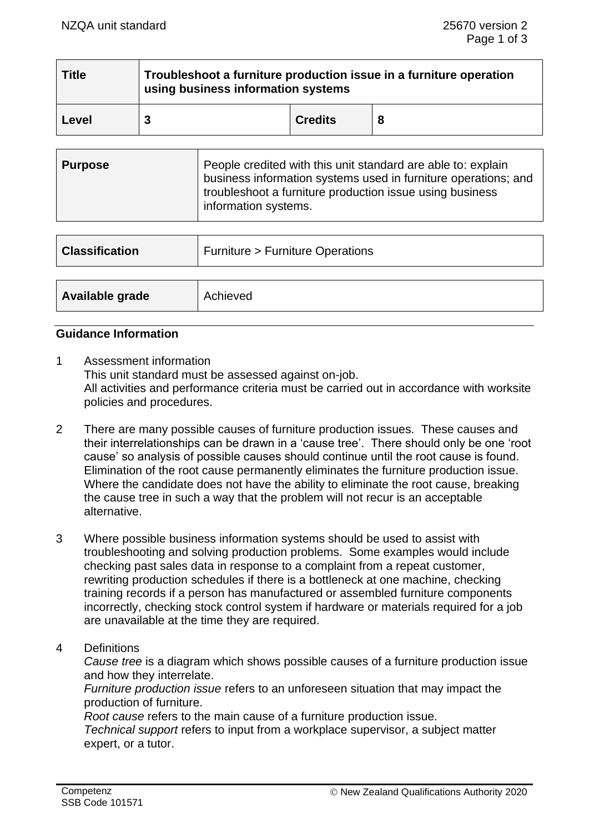| <b>Title</b> | Troubleshoot a furniture production issue in a furniture operation<br>using business information systems |                |   |  |  |
|--------------|----------------------------------------------------------------------------------------------------------|----------------|---|--|--|
| Level        |                                                                                                          | <b>Credits</b> | 8 |  |  |

| ∣ Purpose | People credited with this unit standard are able to: explain<br>business information systems used in furniture operations; and<br>troubleshoot a furniture production issue using business<br>information systems. |
|-----------|--------------------------------------------------------------------------------------------------------------------------------------------------------------------------------------------------------------------|
|-----------|--------------------------------------------------------------------------------------------------------------------------------------------------------------------------------------------------------------------|

| <b>Classification</b> | <b>Furniture &gt; Furniture Operations</b> |
|-----------------------|--------------------------------------------|
|                       |                                            |
| Available grade       | Achieved                                   |

## **Guidance Information**

- 1 Assessment information This unit standard must be assessed against on-job. All activities and performance criteria must be carried out in accordance with worksite policies and procedures.
- 2 There are many possible causes of furniture production issues. These causes and their interrelationships can be drawn in a 'cause tree'. There should only be one 'root cause' so analysis of possible causes should continue until the root cause is found. Elimination of the root cause permanently eliminates the furniture production issue. Where the candidate does not have the ability to eliminate the root cause, breaking the cause tree in such a way that the problem will not recur is an acceptable alternative.
- 3 Where possible business information systems should be used to assist with troubleshooting and solving production problems. Some examples would include checking past sales data in response to a complaint from a repeat customer, rewriting production schedules if there is a bottleneck at one machine, checking training records if a person has manufactured or assembled furniture components incorrectly, checking stock control system if hardware or materials required for a job are unavailable at the time they are required.
- 4 Definitions

*Cause tree* is a diagram which shows possible causes of a furniture production issue and how they interrelate.

*Furniture production issue* refers to an unforeseen situation that may impact the production of furniture.

*Root cause* refers to the main cause of a furniture production issue*. Technical support* refers to input from a workplace supervisor, a subject matter expert, or a tutor.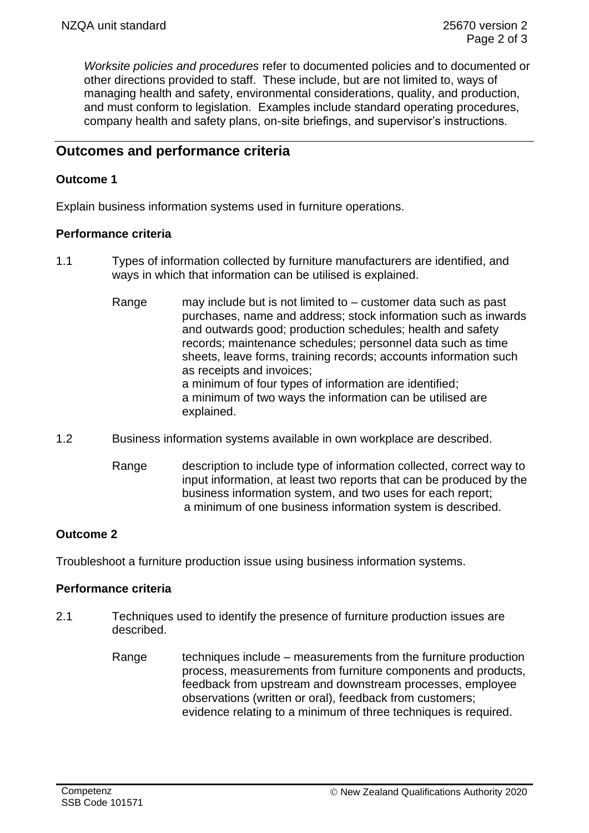*Worksite policies and procedures* refer to documented policies and to documented or other directions provided to staff. These include, but are not limited to, ways of managing health and safety, environmental considerations, quality, and production, and must conform to legislation. Examples include standard operating procedures, company health and safety plans, on-site briefings, and supervisor's instructions.

# **Outcomes and performance criteria**

## **Outcome 1**

Explain business information systems used in furniture operations.

## **Performance criteria**

- 1.1 Types of information collected by furniture manufacturers are identified, and ways in which that information can be utilised is explained.
	- Range may include but is not limited to customer data such as past purchases, name and address; stock information such as inwards and outwards good; production schedules; health and safety records; maintenance schedules; personnel data such as time sheets, leave forms, training records; accounts information such as receipts and invoices; a minimum of four types of information are identified; a minimum of two ways the information can be utilised are explained.
- 1.2 Business information systems available in own workplace are described.
	- Range description to include type of information collected, correct way to input information, at least two reports that can be produced by the business information system, and two uses for each report; a minimum of one business information system is described.

## **Outcome 2**

Troubleshoot a furniture production issue using business information systems.

## **Performance criteria**

- 2.1 Techniques used to identify the presence of furniture production issues are described.
	- Range techniques include measurements from the furniture production process, measurements from furniture components and products, feedback from upstream and downstream processes, employee observations (written or oral), feedback from customers; evidence relating to a minimum of three techniques is required.